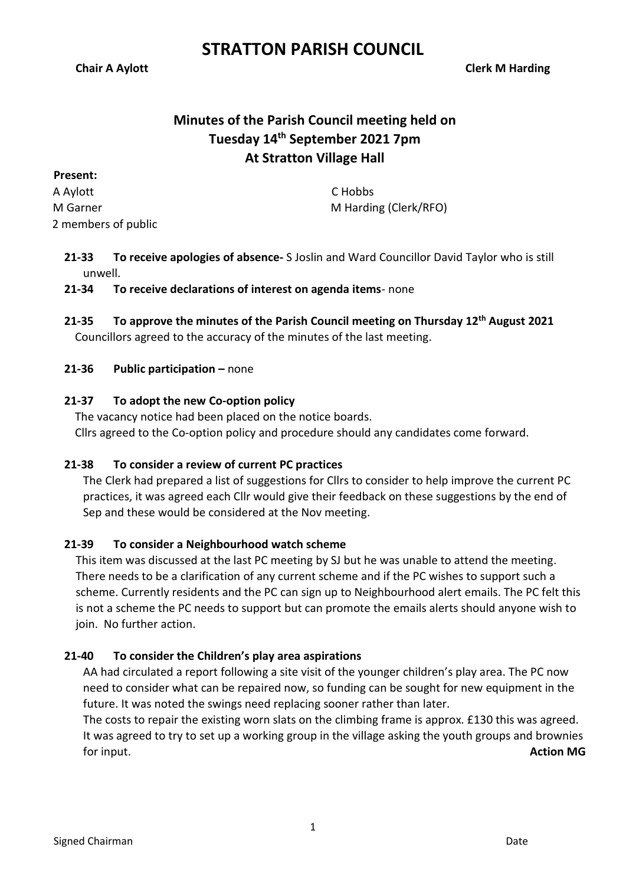# **STRATTON PARISH COUNCIL**

**Chair A Aylott Clerk M Harding**

# **Minutes of the Parish Council meeting held on Tuesday 14th September 2021 7pm At Stratton Village Hall**

**Present:** A Aylott M Garner 2 members of public

C Hobbs M Harding (Clerk/RFO)

**21-33 To receive apologies of absence-** S Joslin and Ward Councillor David Taylor who is still unwell.

# **21-34 To receive declarations of interest on agenda items**- none

**21-35 To approve the minutes of the Parish Council meeting on Thursday 12 th August 2021** Councillors agreed to the accuracy of the minutes of the last meeting.

### **21-36 Public participation –** none

# **21-37 To adopt the new Co-option policy**

The vacancy notice had been placed on the notice boards. Cllrs agreed to the Co-option policy and procedure should any candidates come forward.

#### **21-38 To consider a review of current PC practices**

The Clerk had prepared a list of suggestions for Cllrs to consider to help improve the current PC practices, it was agreed each Cllr would give their feedback on these suggestions by the end of Sep and these would be considered at the Nov meeting.

# **21-39 To consider a Neighbourhood watch scheme**

This item was discussed at the last PC meeting by SJ but he was unable to attend the meeting. There needs to be a clarification of any current scheme and if the PC wishes to support such a scheme. Currently residents and the PC can sign up to Neighbourhood alert emails. The PC felt this is not a scheme the PC needs to support but can promote the emails alerts should anyone wish to join. No further action.

# **21-40 To consider the Children's play area aspirations**

AA had circulated a report following a site visit of the younger children's play area. The PC now need to consider what can be repaired now, so funding can be sought for new equipment in the future. It was noted the swings need replacing sooner rather than later.

The costs to repair the existing worn slats on the climbing frame is approx. £130 this was agreed. It was agreed to try to set up a working group in the village asking the youth groups and brownies for input. **Action MG**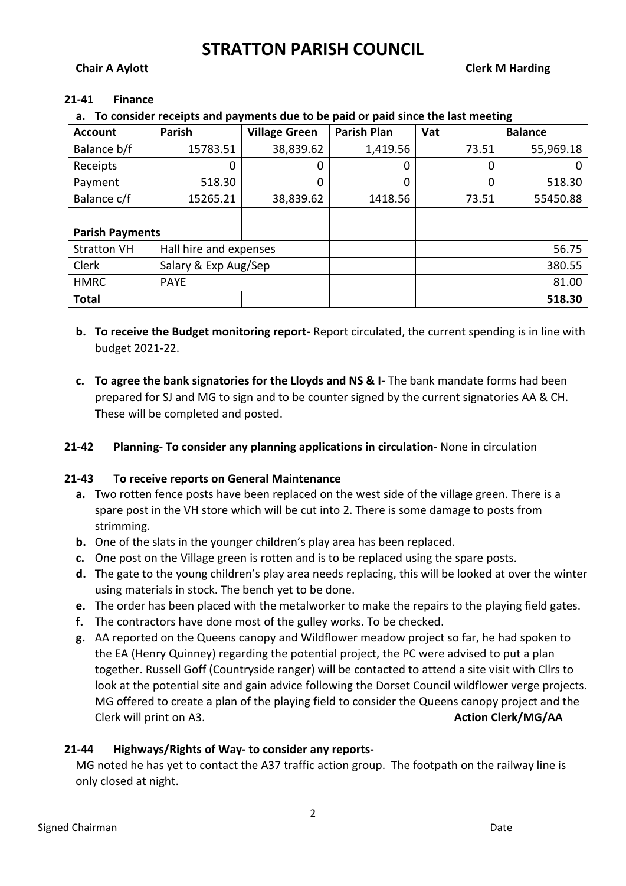# **STRATTON PARISH COUNCIL**

### **Chair A Aylott Clerk M Harding**

#### **21-41 Finance**

**a. To consider receipts and payments due to be paid or paid since the last meeting**

| <b>Account</b>         | Parish                 | <b>Village Green</b> | <b>Parish Plan</b> | Vat   | <b>Balance</b> |
|------------------------|------------------------|----------------------|--------------------|-------|----------------|
| Balance b/f            | 15783.51               | 38,839.62            | 1,419.56           | 73.51 | 55,969.18      |
| Receipts               | 0                      | 0                    | 0                  | 0     |                |
| Payment                | 518.30                 | 0                    | 0                  | 0     | 518.30         |
| Balance c/f            | 15265.21               | 38,839.62            | 1418.56            | 73.51 | 55450.88       |
|                        |                        |                      |                    |       |                |
| <b>Parish Payments</b> |                        |                      |                    |       |                |
| <b>Stratton VH</b>     | Hall hire and expenses |                      |                    |       | 56.75          |
| Clerk                  | Salary & Exp Aug/Sep   |                      |                    |       | 380.55         |
| <b>HMRC</b>            | <b>PAYE</b>            |                      |                    |       | 81.00          |
| <b>Total</b>           |                        |                      |                    |       | 518.30         |

- **b. To receive the Budget monitoring report-** Report circulated, the current spending is in line with budget 2021-22.
- **c. To agree the bank signatories for the Lloyds and NS & I-** The bank mandate forms had been prepared for SJ and MG to sign and to be counter signed by the current signatories AA & CH. These will be completed and posted.

#### **21-42 Planning- To consider any planning applications in circulation-** None in circulation

#### **21-43 To receive reports on General Maintenance**

- **a.** Two rotten fence posts have been replaced on the west side of the village green. There is a spare post in the VH store which will be cut into 2. There is some damage to posts from strimming.
- **b.** One of the slats in the younger children's play area has been replaced.
- **c.** One post on the Village green is rotten and is to be replaced using the spare posts.
- **d.** The gate to the young children's play area needs replacing, this will be looked at over the winter using materials in stock. The bench yet to be done.
- **e.** The order has been placed with the metalworker to make the repairs to the playing field gates.
- **f.** The contractors have done most of the gulley works. To be checked.
- **g.** AA reported on the Queens canopy and Wildflower meadow project so far, he had spoken to the EA (Henry Quinney) regarding the potential project, the PC were advised to put a plan together. Russell Goff (Countryside ranger) will be contacted to attend a site visit with Cllrs to look at the potential site and gain advice following the Dorset Council wildflower verge projects. MG offered to create a plan of the playing field to consider the Queens canopy project and the Clerk will print on A3. **Action Clerk/MG/AA**

# **21-44 Highways/Rights of Way- to consider any reports-**

MG noted he has yet to contact the A37 traffic action group. The footpath on the railway line is only closed at night.